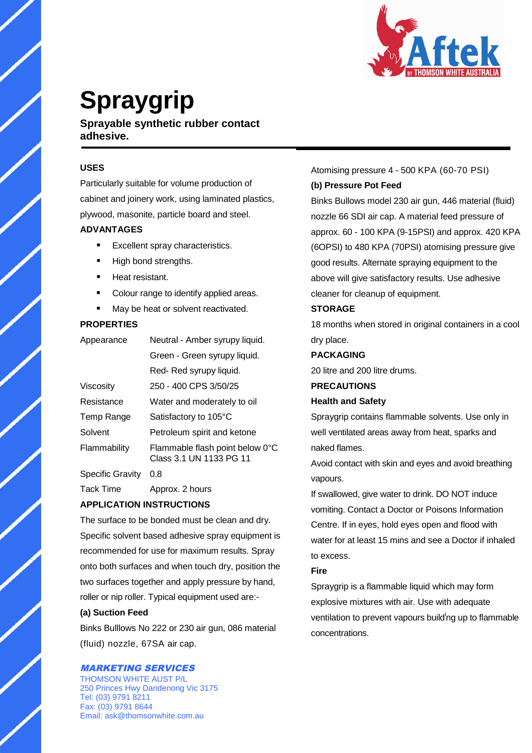

# **Spraygrip**

**Sprayable synthetic rubber contact adhesive.**

## **USES**

Particularly suitable for volume production of cabinet and joinery work, using laminated plastics, plywood, masonite, particle board and steel.

## **ADVANTAGES**

- Excellent spray characteristics.
- High bond strengths.
- Heat resistant.
- Colour range to identify applied areas.
- May be heat or solvent reactivated.

## **PROPERTIES**

| Appearance              | Neutral - Amber syrupy liquid.                             |
|-------------------------|------------------------------------------------------------|
|                         | Green - Green syrupy liquid.                               |
|                         | Red-Red syrupy liquid.                                     |
| Viscositv               | 250 - 400 CPS 3/50/25                                      |
| Resistance              | Water and moderately to oil                                |
| Temp Range              | Satisfactory to 105°C                                      |
| Solvent                 | Petroleum spirit and ketone                                |
| Flammability            | Flammable flash point below 0°C<br>Class 3.1 UN 1133 PG 11 |
| <b>Specific Gravity</b> | 0.8                                                        |
| Tack Time               | Approx, 2 hours                                            |

# **APPLICATION INSTRUCTIONS**

The surface to be bonded must be clean and dry. Specific solvent based adhesive spray equipment is recommended for use for maximum results. Spray onto both surfaces and when touch dry, position the two surfaces together and apply pressure by hand, roller or nip roller. Typical equipment used are:-

#### **(a) Suction Feed**

Binks Bulllows No 222 or 230 air gun, 086 material (fluid) nozzle, 67SA air cap.

#### MARKETING SERVICES

THOMSON WHITE AUST P/L 250 Princes Hwy Dandenong Vic 3175 Tel: (03) 9791 8211 Fax: (03) 9791 8644 Email: ask@thomsonwhite.com.au

Atomising pressure 4 - 500 KPA (60-70 PSI)

#### **(b) Pressure Pot Feed**

Binks Bullows model 230 air gun, 446 material (fluid) nozzle 66 SDI air cap. A material feed pressure of approx. 60 - 100 KPA (9-15PSI) and approx. 420 KPA (6OPSI) to 480 KPA (70PSI) atomising pressure give good results. Alternate spraying equipment to the above will give satisfactory results. Use adhesive cleaner for cleanup of equipment.

## **STORAGE**

18 months when stored in original containers in a cool dry place.

#### **PACKAGING**

20 litre and 200 litre drums.

#### **PRECAUTIONS**

#### **Health and Safety**

Spraygrip contains flammable solvents. Use only in well ventilated areas away from heat, sparks and naked flames.

Avoid contact with skin and eyes and avoid breathing vapours.

If swallowed, give water to drink. DO NOT induce vomiting. Contact a Doctor or Poisons Information Centre. If in eyes, hold eyes open and flood with water for at least 15 mins and see a Doctor if inhaled to excess.

#### **Fire**

Spraygrip is a flammable liquid which may form explosive mixtures with air. Use with adequate ventilation to prevent vapours build<sup>i</sup>ng up to flammable concentrations.